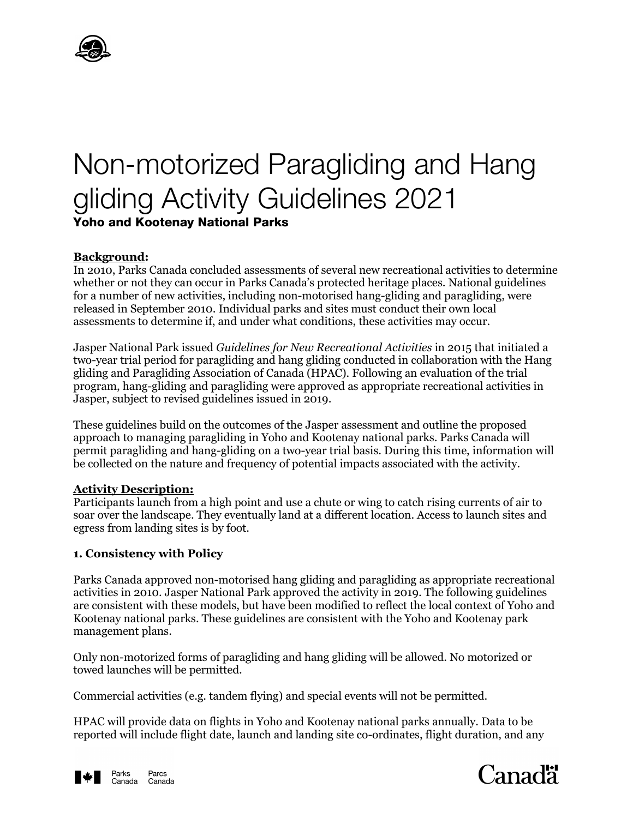

# Non-motorized Paragliding and Hang gliding Activity Guidelines 2021 **Yoho and Kootenay National Parks**

### **Background:**

In 2010, Parks Canada concluded assessments of several new recreational activities to determine whether or not they can occur in Parks Canada's protected heritage places. National guidelines for a number of new activities, including non-motorised hang-gliding and paragliding, were released in September 2010. Individual parks and sites must conduct their own local assessments to determine if, and under what conditions, these activities may occur.

Jasper National Park issued *Guidelines for New Recreational Activities* in 2015 that initiated a two-year trial period for paragliding and hang gliding conducted in collaboration with the Hang gliding and Paragliding Association of Canada (HPAC). Following an evaluation of the trial program, hang-gliding and paragliding were approved as appropriate recreational activities in Jasper, subject to revised guidelines issued in 2019.

These guidelines build on the outcomes of the Jasper assessment and outline the proposed approach to managing paragliding in Yoho and Kootenay national parks. Parks Canada will permit paragliding and hang-gliding on a two-year trial basis. During this time, information will be collected on the nature and frequency of potential impacts associated with the activity.

#### **Activity Description:**

Participants launch from a high point and use a chute or wing to catch rising currents of air to soar over the landscape. They eventually land at a different location. Access to launch sites and egress from landing sites is by foot.

### **1. Consistency with Policy**

Parks Canada approved non-motorised hang gliding and paragliding as appropriate recreational activities in 2010. Jasper National Park approved the activity in 2019. The following guidelines are consistent with these models, but have been modified to reflect the local context of Yoho and Kootenay national parks. These guidelines are consistent with the Yoho and Kootenay park management plans.

Only non-motorized forms of paragliding and hang gliding will be allowed. No motorized or towed launches will be permitted.

Commercial activities (e.g. tandem flying) and special events will not be permitted.

HPAC will provide data on flights in Yoho and Kootenay national parks annually. Data to be reported will include flight date, launch and landing site co-ordinates, flight duration, and any



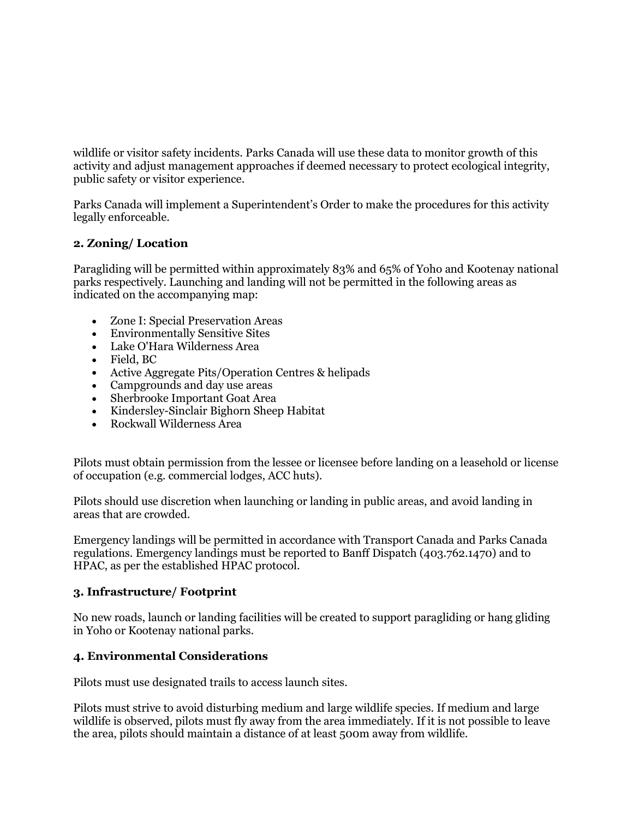wildlife or visitor safety incidents. Parks Canada will use these data to monitor growth of this activity and adjust management approaches if deemed necessary to protect ecological integrity, public safety or visitor experience.

Parks Canada will implement a Superintendent's Order to make the procedures for this activity legally enforceable.

## **2. Zoning/ Location**

Paragliding will be permitted within approximately 83% and 65% of Yoho and Kootenay national parks respectively. Launching and landing will not be permitted in the following areas as indicated on the accompanying map:

- Zone I: Special Preservation Areas
- Environmentally Sensitive Sites
- Lake O'Hara Wilderness Area
- Field, BC
- Active Aggregate Pits/Operation Centres & helipads
- Campgrounds and day use areas
- Sherbrooke Important Goat Area
- Kindersley-Sinclair Bighorn Sheep Habitat
- Rockwall Wilderness Area

Pilots must obtain permission from the lessee or licensee before landing on a leasehold or license of occupation (e.g. commercial lodges, ACC huts).

Pilots should use discretion when launching or landing in public areas, and avoid landing in areas that are crowded.

Emergency landings will be permitted in accordance with Transport Canada and Parks Canada regulations. Emergency landings must be reported to Banff Dispatch (403.762.1470) and to HPAC, as per the established HPAC protocol.

### **3. Infrastructure/ Footprint**

No new roads, launch or landing facilities will be created to support paragliding or hang gliding in Yoho or Kootenay national parks.

## **4. Environmental Considerations**

Pilots must use designated trails to access launch sites.

Pilots must strive to avoid disturbing medium and large wildlife species. If medium and large wildlife is observed, pilots must fly away from the area immediately. If it is not possible to leave the area, pilots should maintain a distance of at least 500m away from wildlife.